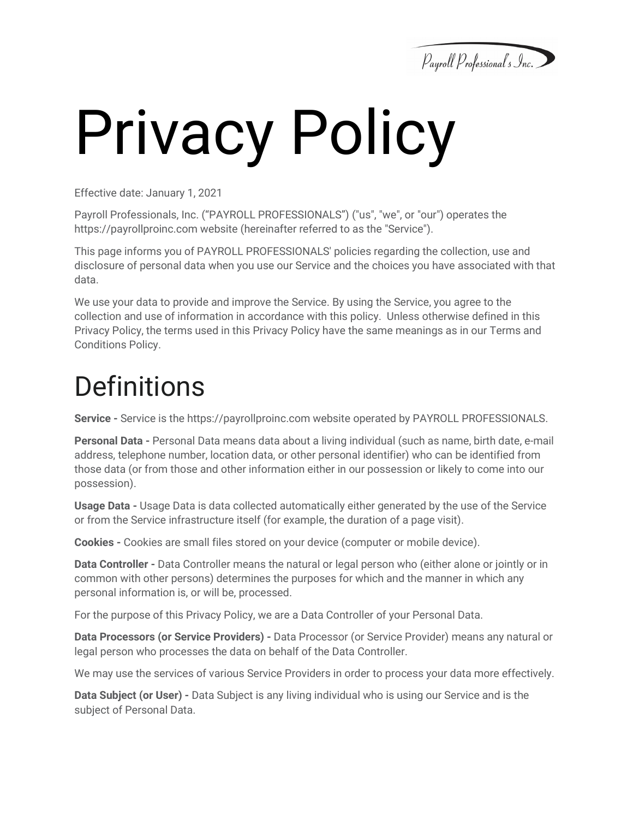

# Privacy Policy

Effective date: January 1, 2021

Payroll Professionals, Inc. ("PAYROLL PROFESSIONALS") ("us", "we", or "our") operates the https://payrollproinc.com website (hereinafter referred to as the "Service").

This page informs you of PAYROLL PROFESSIONALS' policies regarding the collection, use and disclosure of personal data when you use our Service and the choices you have associated with that data.

We use your data to provide and improve the Service. By using the Service, you agree to the collection and use of information in accordance with this policy. Unless otherwise defined in this Privacy Policy, the terms used in this Privacy Policy have the same meanings as in our Terms and Conditions Policy.

# **Definitions**

**Service -** Service is the https://payrollproinc.com website operated by PAYROLL PROFESSIONALS.

**Personal Data -** Personal Data means data about a living individual (such as name, birth date, e-mail address, telephone number, location data, or other personal identifier) who can be identified from those data (or from those and other information either in our possession or likely to come into our possession).

**Usage Data -** Usage Data is data collected automatically either generated by the use of the Service or from the Service infrastructure itself (for example, the duration of a page visit).

**Cookies -** Cookies are small files stored on your device (computer or mobile device).

**Data Controller -** Data Controller means the natural or legal person who (either alone or jointly or in common with other persons) determines the purposes for which and the manner in which any personal information is, or will be, processed.

For the purpose of this Privacy Policy, we are a Data Controller of your Personal Data.

**Data Processors (or Service Providers) -** Data Processor (or Service Provider) means any natural or legal person who processes the data on behalf of the Data Controller.

We may use the services of various Service Providers in order to process your data more effectively.

**Data Subject (or User)** - Data Subject is any living individual who is using our Service and is the subject of Personal Data.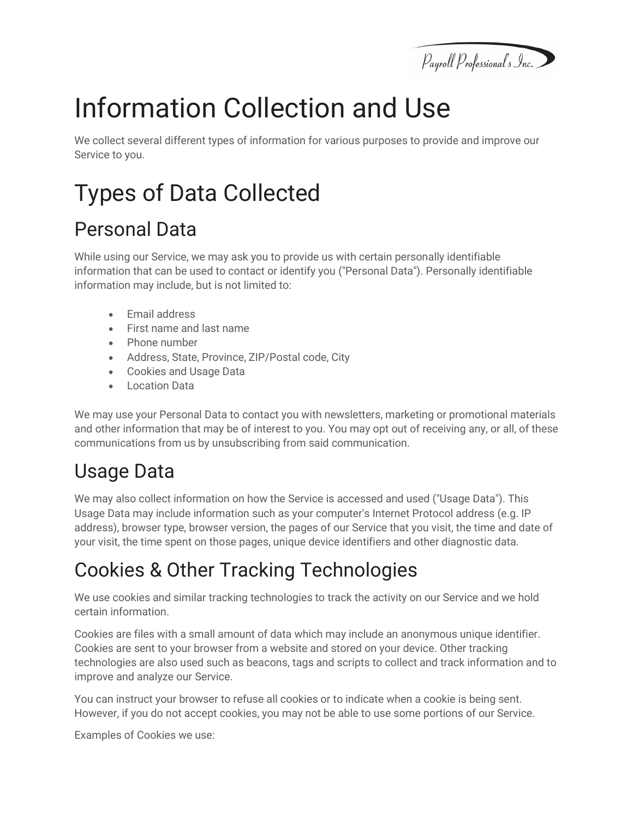Payroll Professional's Inc.

# Information Collection and Use

We collect several different types of information for various purposes to provide and improve our Service to you.

### Types of Data Collected

### Personal Data

While using our Service, we may ask you to provide us with certain personally identifiable information that can be used to contact or identify you ("Personal Data"). Personally identifiable information may include, but is not limited to:

- Email address
- First name and last name
- Phone number
- Address, State, Province, ZIP/Postal code, City
- Cookies and Usage Data
- Location Data

We may use your Personal Data to contact you with newsletters, marketing or promotional materials and other information that may be of interest to you. You may opt out of receiving any, or all, of these communications from us by unsubscribing from said communication.

### Usage Data

We may also collect information on how the Service is accessed and used ("Usage Data"). This Usage Data may include information such as your computer's Internet Protocol address (e.g. IP address), browser type, browser version, the pages of our Service that you visit, the time and date of your visit, the time spent on those pages, unique device identifiers and other diagnostic data.

### Cookies & Other Tracking Technologies

We use cookies and similar tracking technologies to track the activity on our Service and we hold certain information.

Cookies are files with a small amount of data which may include an anonymous unique identifier. Cookies are sent to your browser from a website and stored on your device. Other tracking technologies are also used such as beacons, tags and scripts to collect and track information and to improve and analyze our Service.

You can instruct your browser to refuse all cookies or to indicate when a cookie is being sent. However, if you do not accept cookies, you may not be able to use some portions of our Service.

Examples of Cookies we use: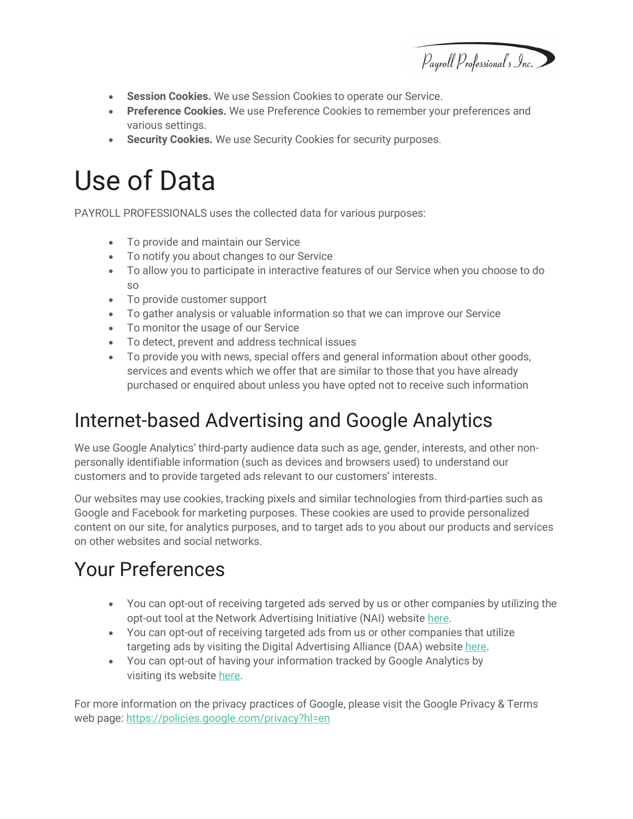

- **Session Cookies.** We use Session Cookies to operate our Service.
- **Preference Cookies.** We use Preference Cookies to remember your preferences and various settings.
- **Security Cookies.** We use Security Cookies for security purposes.

### Use of Data

PAYROLL PROFESSIONALS uses the collected data for various purposes:

- To provide and maintain our Service
- To notify you about changes to our Service
- To allow you to participate in interactive features of our Service when you choose to do  $\mathbf{S}$
- To provide customer support
- To gather analysis or valuable information so that we can improve our Service
- To monitor the usage of our Service
- To detect, prevent and address technical issues
- To provide you with news, special offers and general information about other goods, services and events which we offer that are similar to those that you have already purchased or enquired about unless you have opted not to receive such information

#### Internet-based Advertising and Google Analytics

We use Google Analytics' third-party audience data such as age, gender, interests, and other nonpersonally identifiable information (such as devices and browsers used) to understand our customers and to provide targeted ads relevant to our customers' interests.

Our websites may use cookies, tracking pixels and similar technologies from third-parties such as Google and Facebook for marketing purposes. These cookies are used to provide personalized content on our site, for analytics purposes, and to target ads to you about our products and services on other websites and social networks.

### Your Preferences

- You can opt-out of receiving targeted ads served by us or other companies by utilizing the opt-out tool at the Network Advertising Initiative (NAI) website [here.](https://linkprotect.cudasvc.com/url?a=http%3a%2f%2fwww.networkadvertising.org%2fchoices%2f&c=E,1,Qo3wXi_ZwU56cEIXFEcbGomiu3NRaDNxivb4boCV9u1LcVh6h_78yZ2y5EPTp6FE7URIaKnLPl29KVxdHB33vU6HTR9cFLe2YfzQ89Z86ex6AN71_CQl5Gc,&typo=1)
- You can opt-out of receiving targeted ads from us or other companies that utilize targeting ads by visiting the Digital Advertising Alliance (DAA) website [here.](https://linkprotect.cudasvc.com/url?a=http%3a%2f%2fwww.aboutads.info%2fchoices%2f&c=E,1,YsDY0BmWz9xVU0xIXINEN-qfGiCf36izKtiCcoTZhYOWEIgjvQ2xoC1LzMYgoHkJ1x5D6n4FbnVLR3WYov6rTshG7YMZHQgVD3NrdI95MdhVew,,&typo=1)
- You can opt-out of having your information tracked by Google Analytics by visiting its website [here.](https://tools.google.com/dlpage/gaoptout/)

For more information on the privacy practices of Google, please visit the Google Privacy & Terms web page: <https://policies.google.com/privacy?hl=en>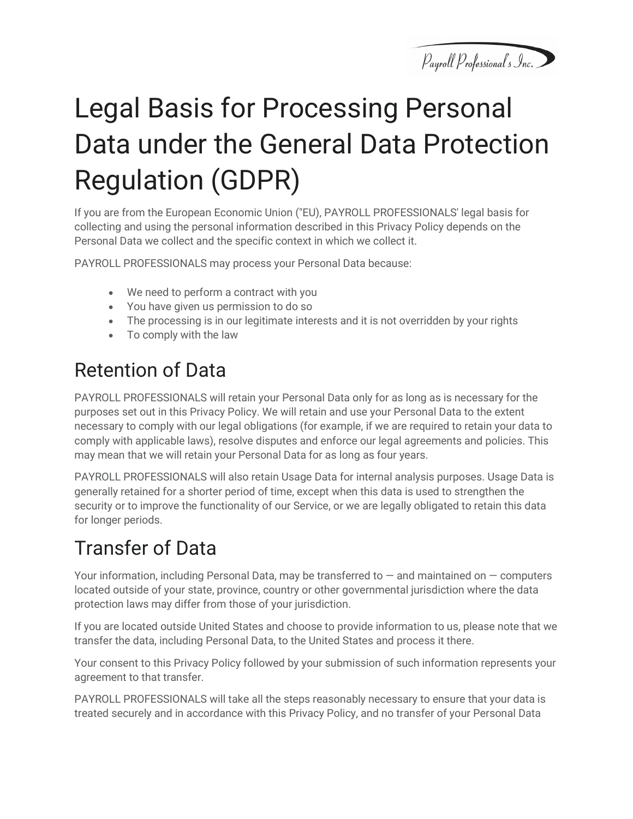# Legal Basis for Processing Personal Data under the General Data Protection Regulation (GDPR)

If you are from the European Economic Union ("EU), PAYROLL PROFESSIONALS' legal basis for collecting and using the personal information described in this Privacy Policy depends on the Personal Data we collect and the specific context in which we collect it.

PAYROLL PROFESSIONALS may process your Personal Data because:

- We need to perform a contract with you
- You have given us permission to do so
- The processing is in our legitimate interests and it is not overridden by your rights
- To comply with the law

#### Retention of Data

PAYROLL PROFESSIONALS will retain your Personal Data only for as long as is necessary for the purposes set out in this Privacy Policy. We will retain and use your Personal Data to the extent necessary to comply with our legal obligations (for example, if we are required to retain your data to comply with applicable laws), resolve disputes and enforce our legal agreements and policies. This may mean that we will retain your Personal Data for as long as four years.

PAYROLL PROFESSIONALS will also retain Usage Data for internal analysis purposes. Usage Data is generally retained for a shorter period of time, except when this data is used to strengthen the security or to improve the functionality of our Service, or we are legally obligated to retain this data for longer periods.

### Transfer of Data

Your information, including Personal Data, may be transferred to  $-$  and maintained on  $-$  computers located outside of your state, province, country or other governmental jurisdiction where the data protection laws may differ from those of your jurisdiction.

If you are located outside United States and choose to provide information to us, please note that we transfer the data, including Personal Data, to the United States and process it there.

Your consent to this Privacy Policy followed by your submission of such information represents your agreement to that transfer.

PAYROLL PROFESSIONALS will take all the steps reasonably necessary to ensure that your data is treated securely and in accordance with this Privacy Policy, and no transfer of your Personal Data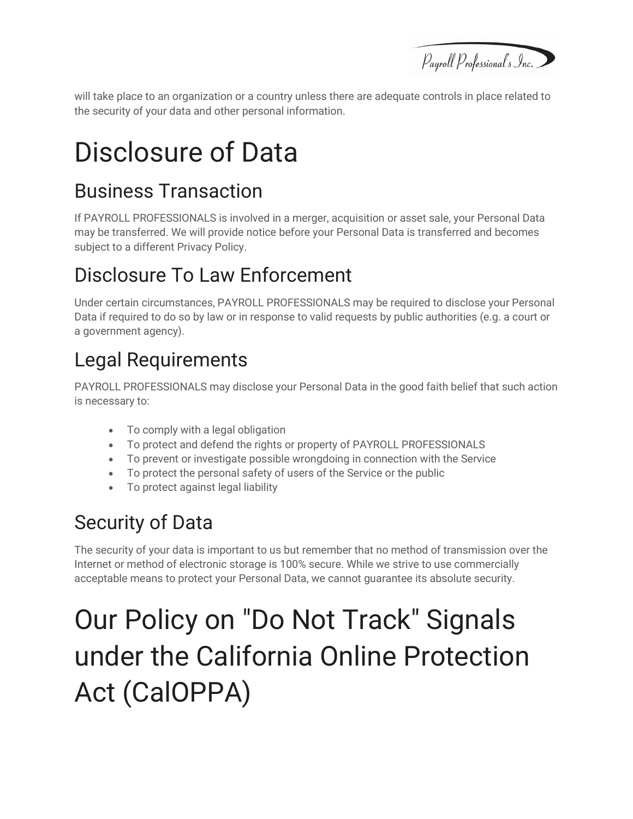Payroll Professional's Inc.

will take place to an organization or a country unless there are adequate controls in place related to the security of your data and other personal information.

# Disclosure of Data

### Business Transaction

If PAYROLL PROFESSIONALS is involved in a merger, acquisition or asset sale, your Personal Data may be transferred. We will provide notice before your Personal Data is transferred and becomes subject to a different Privacy Policy.

### Disclosure To Law Enforcement

Under certain circumstances, PAYROLL PROFESSIONALS may be required to disclose your Personal Data if required to do so by law or in response to valid requests by public authorities (e.g. a court or a government agency).

### Legal Requirements

PAYROLL PROFESSIONALS may disclose your Personal Data in the good faith belief that such action is necessary to:

- To comply with a legal obligation
- To protect and defend the rights or property of PAYROLL PROFESSIONALS
- To prevent or investigate possible wrongdoing in connection with the Service
- To protect the personal safety of users of the Service or the public
- To protect against legal liability

#### Security of Data

The security of your data is important to us but remember that no method of transmission over the Internet or method of electronic storage is 100% secure. While we strive to use commercially acceptable means to protect your Personal Data, we cannot guarantee its absolute security.

# Our Policy on "Do Not Track" Signals under the California Online Protection Act (CalOPPA)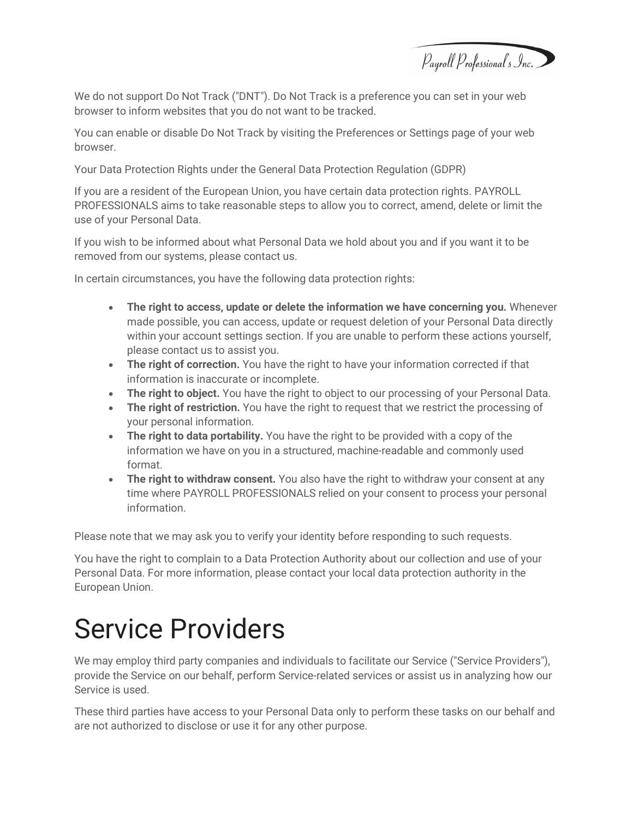We do not support Do Not Track ("DNT"). Do Not Track is a preference you can set in your web browser to inform websites that you do not want to be tracked.

You can enable or disable Do Not Track by visiting the Preferences or Settings page of your web browser.

Your Data Protection Rights under the General Data Protection Regulation (GDPR)

If you are a resident of the European Union, you have certain data protection rights. PAYROLL PROFESSIONALS aims to take reasonable steps to allow you to correct, amend, delete or limit the use of your Personal Data.

If you wish to be informed about what Personal Data we hold about you and if you want it to be removed from our systems, please contact us.

In certain circumstances, you have the following data protection rights:

- **The right to access, update or delete the information we have concerning you.** Whenever made possible, you can access, update or request deletion of your Personal Data directly within your account settings section. If you are unable to perform these actions yourself, please contact us to assist you.
- **The right of correction.** You have the right to have your information corrected if that information is inaccurate or incomplete.
- **The right to object.** You have the right to object to our processing of your Personal Data.
- **The right of restriction.** You have the right to request that we restrict the processing of your personal information.
- **The right to data portability.** You have the right to be provided with a copy of the information we have on you in a structured, machine-readable and commonly used format.
- **The right to withdraw consent.** You also have the right to withdraw your consent at any time where PAYROLL PROFESSIONALS relied on your consent to process your personal information.

Please note that we may ask you to verify your identity before responding to such requests.

You have the right to complain to a Data Protection Authority about our collection and use of your Personal Data. For more information, please contact your local data protection authority in the European Union.

## Service Providers

We may employ third party companies and individuals to facilitate our Service ("Service Providers"), provide the Service on our behalf, perform Service-related services or assist us in analyzing how our Service is used.

These third parties have access to your Personal Data only to perform these tasks on our behalf and are not authorized to disclose or use it for any other purpose.